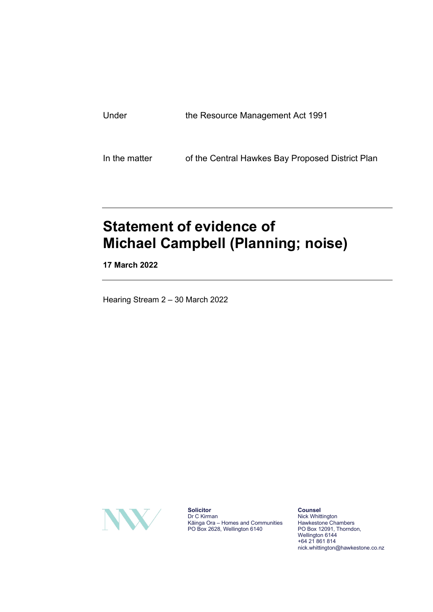| Under | the Resource Management Act 1991 |  |
|-------|----------------------------------|--|
|       |                                  |  |
|       |                                  |  |

In the matter of the Central Hawkes Bay Proposed District Plan

# **Statement of evidence of Michael Campbell (Planning; noise)**

**17 March 2022**

Hearing Stream 2 – 30 March 2022



**Solicitor** Dr C Kirman Kāinga Ora – Homes and Communities PO Box 2628, Wellington 6140

**Counsel** Nick Whittington Hawkestone Chambers PO Box 12091, Thorndon, Wellington 6144 +64 21 861 814 nick.whittington@hawkestone.co.nz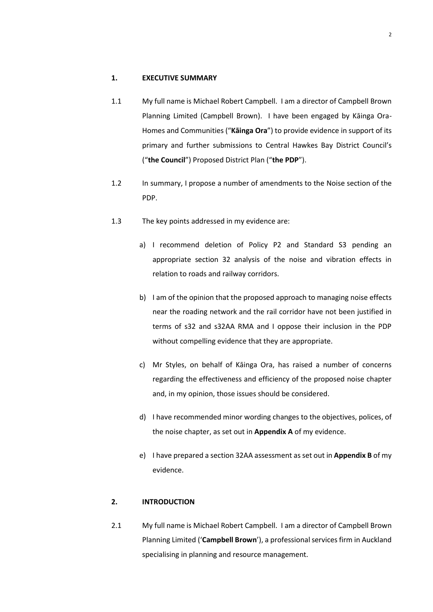#### **1. EXECUTIVE SUMMARY**

- 1.1 My full name is Michael Robert Campbell. I am a director of Campbell Brown Planning Limited (Campbell Brown). I have been engaged by Kāinga Ora-Homes and Communities ("**Kāinga Ora**") to provide evidence in support of its primary and further submissions to Central Hawkes Bay District Council's ("**the Council**") Proposed District Plan ("**the PDP**").
- 1.2 In summary, I propose a number of amendments to the Noise section of the PDP.
- 1.3 The key points addressed in my evidence are:
	- a) I recommend deletion of Policy P2 and Standard S3 pending an appropriate section 32 analysis of the noise and vibration effects in relation to roads and railway corridors.
	- b) I am of the opinion that the proposed approach to managing noise effects near the roading network and the rail corridor have not been justified in terms of s32 and s32AA RMA and I oppose their inclusion in the PDP without compelling evidence that they are appropriate.
	- c) Mr Styles, on behalf of Kāinga Ora, has raised a number of concerns regarding the effectiveness and efficiency of the proposed noise chapter and, in my opinion, those issues should be considered.
	- d) I have recommended minor wording changes to the objectives, polices, of the noise chapter, as set out in **Appendix A** of my evidence.
	- e) I have prepared a section 32AA assessment as set out in **Appendix B** of my evidence.

# **2. INTRODUCTION**

2.1 My full name is Michael Robert Campbell. I am a director of Campbell Brown Planning Limited ('**Campbell Brown**'), a professional services firm in Auckland specialising in planning and resource management.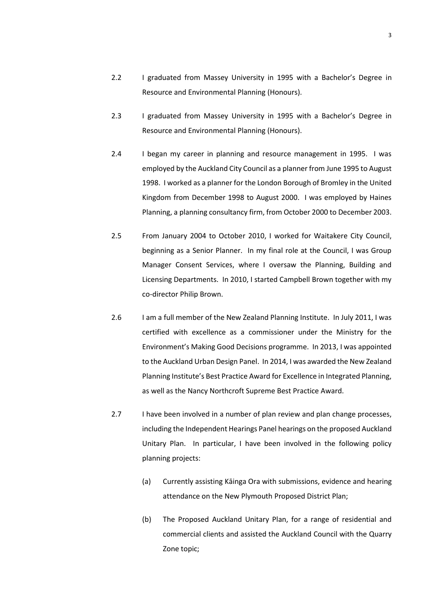- 2.2 I graduated from Massey University in 1995 with a Bachelor's Degree in Resource and Environmental Planning (Honours).
- 2.3 I graduated from Massey University in 1995 with a Bachelor's Degree in Resource and Environmental Planning (Honours).
- 2.4 I began my career in planning and resource management in 1995. I was employed by the Auckland City Council as a planner from June 1995 to August 1998. I worked as a planner for the London Borough of Bromley in the United Kingdom from December 1998 to August 2000. I was employed by Haines Planning, a planning consultancy firm, from October 2000 to December 2003.
- 2.5 From January 2004 to October 2010, I worked for Waitakere City Council, beginning as a Senior Planner. In my final role at the Council, I was Group Manager Consent Services, where I oversaw the Planning, Building and Licensing Departments. In 2010, I started Campbell Brown together with my co-director Philip Brown.
- 2.6 I am a full member of the New Zealand Planning Institute. In July 2011, I was certified with excellence as a commissioner under the Ministry for the Environment's Making Good Decisions programme. In 2013, I was appointed to the Auckland Urban Design Panel. In 2014, I was awarded the New Zealand Planning Institute's Best Practice Award for Excellence in Integrated Planning, as well as the Nancy Northcroft Supreme Best Practice Award.
- 2.7 I have been involved in a number of plan review and plan change processes, including the Independent Hearings Panel hearings on the proposed Auckland Unitary Plan. In particular, I have been involved in the following policy planning projects:
	- (a) Currently assisting Kāinga Ora with submissions, evidence and hearing attendance on the New Plymouth Proposed District Plan;
	- (b) The Proposed Auckland Unitary Plan, for a range of residential and commercial clients and assisted the Auckland Council with the Quarry Zone topic;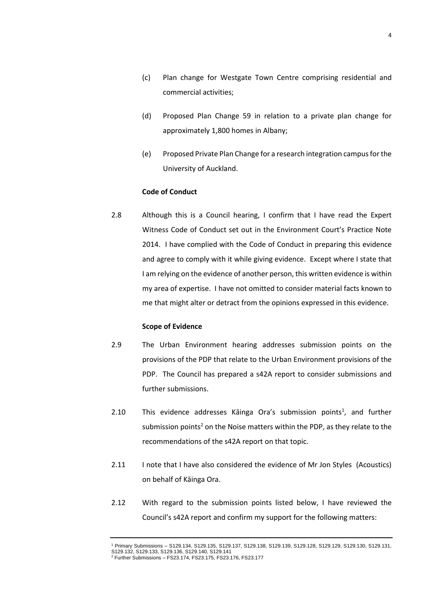- (c) Plan change for Westgate Town Centre comprising residential and commercial activities;
- (d) Proposed Plan Change 59 in relation to a private plan change for approximately 1,800 homes in Albany;
- (e) Proposed Private Plan Change for a research integration campus for the University of Auckland.

#### **Code of Conduct**

2.8 Although this is a Council hearing, I confirm that I have read the Expert Witness Code of Conduct set out in the Environment Court's Practice Note 2014. I have complied with the Code of Conduct in preparing this evidence and agree to comply with it while giving evidence. Except where I state that I am relying on the evidence of another person, this written evidence is within my area of expertise. I have not omitted to consider material facts known to me that might alter or detract from the opinions expressed in this evidence.

#### **Scope of Evidence**

- 2.9 The Urban Environment hearing addresses submission points on the provisions of the PDP that relate to the Urban Environment provisions of the PDP. The Council has prepared a s42A report to consider submissions and further submissions.
- 2.10  $\blacksquare$  This evidence addresses Kāinga Ora's submission points<sup>1</sup>, and further submission points<sup>2</sup> on the Noise matters within the PDP, as they relate to the recommendations of the s42A report on that topic.
- 2.11 I note that I have also considered the evidence of Mr Jon Styles (Acoustics) on behalf of Kāinga Ora.
- 2.12 With regard to the submission points listed below, I have reviewed the Council's s42A report and confirm my support for the following matters:

<sup>1</sup> Primary Submissions – S129.134, S129.135, S129.137, S129.138, S129.139, S129.128, S129.129, S129.130, S129.131, S129.132, S129.133, S129.136, S129.140, S129.141 <sup>2</sup> Further Submissions – FS23.174, FS23.175, FS23.176, FS23.177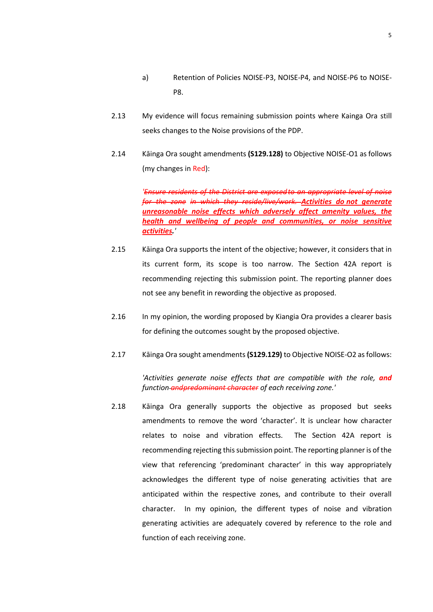- a) Retention of Policies NOISE-P3, NOISE-P4, and NOISE-P6 to NOISE-P8.
- 2.13 My evidence will focus remaining submission points where Kainga Ora still seeks changes to the Noise provisions of the PDP.
- 2.14 Kāinga Ora sought amendments **(S129.128)** to Objective NOISE-O1 as follows (my changes in Red):

*'Ensure residents of the District are exposed to an appropriate level of noise for the zone in which they reside/live/work. Activities do not generate unreasonable noise effects which adversely affect amenity values, the health and wellbeing of people and communities, or noise sensitive activities.'*

- 2.15 Kāinga Ora supports the intent of the objective; however, it considers that in its current form, its scope is too narrow. The Section 42A report is recommending rejecting this submission point. The reporting planner does not see any benefit in rewording the objective as proposed.
- 2.16 In my opinion, the wording proposed by Kiangia Ora provides a clearer basis for defining the outcomes sought by the proposed objective.
- 2.17 Kāinga Ora sought amendments**(S129.129)** to Objective NOISE-O2 asfollows:

*'Activities generate noise effects that are compatible with the role, and function andpredominant character of each receiving zone.'*

<span id="page-4-0"></span>2.18 Kāinga Ora generally supports the objective as proposed but seeks amendments to remove the word 'character'. It is unclear how character relates to noise and vibration effects. The Section 42A report is recommending rejecting this submission point. The reporting planner is of the view that referencing 'predominant character' in this way appropriately acknowledges the different type of noise generating activities that are anticipated within the respective zones, and contribute to their overall character. In my opinion, the different types of noise and vibration generating activities are adequately covered by reference to the role and function of each receiving zone.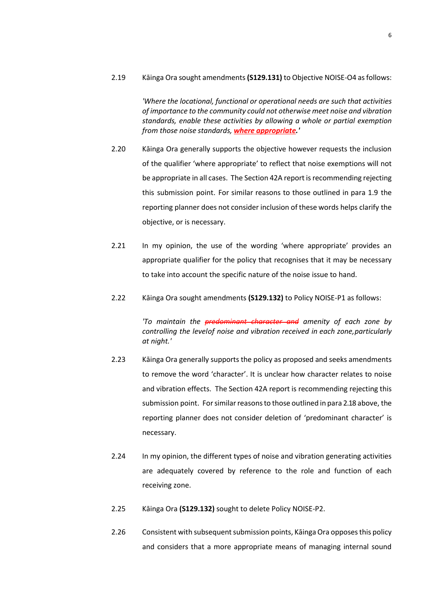2.19 Kāinga Ora sought amendments**(S129.131)** to Objective NOISE-O4 asfollows:

*'Where the locational, functional or operational needs are such that activities of importance to the community could not otherwise meet noise and vibration standards, enable these activities by allowing a whole or partial exemption from those noise standards, where appropriate.'*

- 2.20 Kāinga Ora generally supports the objective however requests the inclusion of the qualifier 'where appropriate' to reflect that noise exemptions will not be appropriate in all cases. The Section 42A report is recommending rejecting this submission point. For similar reasons to those outlined in para 1.9 the reporting planner does not consider inclusion of these words helps clarify the objective, or is necessary.
- 2.21 In my opinion, the use of the wording 'where appropriate' provides an appropriate qualifier for the policy that recognises that it may be necessary to take into account the specific nature of the noise issue to hand.
- 2.22 Kāinga Ora sought amendments **(S129.132)** to Policy NOISE-P1 as follows:

*'To maintain the predominant character and amenity of each zone by controlling the levelof noise and vibration received in each zone,particularly at night.'*

- 2.23 Kāinga Ora generally supports the policy as proposed and seeks amendments to remove the word 'character'. It is unclear how character relates to noise and vibration effects. The Section 42A report is recommending rejecting this submission point. Forsimilarreasonsto those outlined in para [2.18](#page-4-0) above, the reporting planner does not consider deletion of 'predominant character' is necessary.
- 2.24 In my opinion, the different types of noise and vibration generating activities are adequately covered by reference to the role and function of each receiving zone.
- 2.25 Kāinga Ora **(S129.132)** sought to delete Policy NOISE-P2.
- 2.26 Consistent with subsequent submission points, Kāinga Ora opposes this policy and considers that a more appropriate means of managing internal sound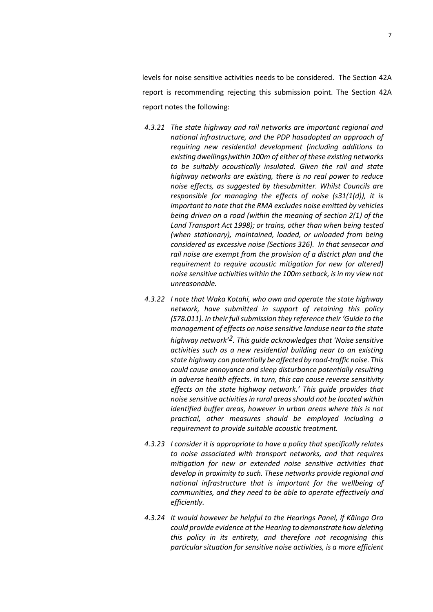levels for noise sensitive activities needs to be considered. The Section 42A report is recommending rejecting this submission point. The Section 42A report notes the following:

- *4.3.21 The state highway and rail networks are important regional and national infrastructure, and the PDP hasadopted an approach of requiring new residential development (including additions to existing dwellings)within 100m of either of these existing networks to be suitably acoustically insulated. Given the rail and state highway networks are existing, there is no real power to reduce noise effects, as suggested by thesubmitter. Whilst Councils are responsible for managing the effects of noise (s31(1(d)), it is important to note that the RMA excludes noise emitted by vehicles being driven on a road (within the meaning of section 2(1) of the Land Transport Act 1998); or trains, other than when being tested (when stationary), maintained, loaded, or unloaded from being considered as excessive noise (Sections 326). In that sensecar and rail noise are exempt from the provision of a district plan and the requirement to require acoustic mitigation for new (or altered) noise sensitive activities within the 100m setback, is in my view not unreasonable.*
- *4.3.22 I note that Waka Kotahi, who own and operate the state highway network, have submitted in support of retaining this policy (S78.011). In their full submission they reference their 'Guide to the management of effects on noise sensitive landuse near to the state highway network'2. This guide acknowledges that 'Noise sensitive activities such as a new residential building near to an existing state highway can potentially be affected by road-traffic noise. This could cause annoyance and sleep disturbance potentially resulting in adverse health effects. In turn, this can cause reverse sensitivity effects on the state highway network.' This guide provides that noise sensitive activities in rural areas should not be located within identified buffer areas, however in urban areas where this is not practical, other measures should be employed including a requirement to provide suitable acoustic treatment.*
- *4.3.23 I consider it is appropriate to have a policy that specifically relates to noise associated with transport networks, and that requires mitigation for new or extended noise sensitive activities that develop in proximity to such. These networks provide regional and national infrastructure that is important for the wellbeing of communities, and they need to be able to operate effectively and efficiently.*
- *4.3.24 It would however be helpful to the Hearings Panel, if Kāinga Ora could provide evidence at the Hearing todemonstratehowdeleting this policy in its entirety, and therefore not recognising this particularsituation for sensitive noise activities, is a more efficient*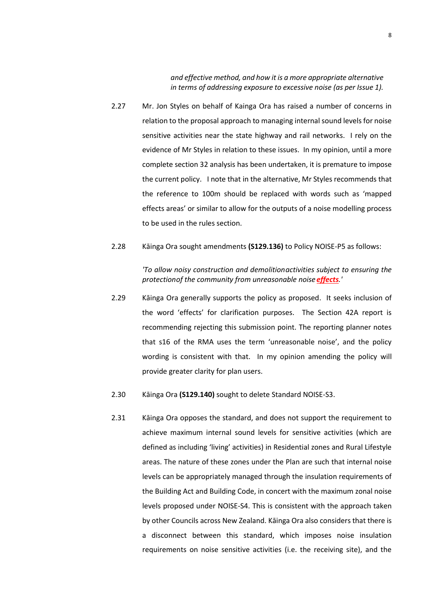*and effective method, and how it is a more appropriate alternative in terms of addressing exposure to excessive noise (as per Issue 1).*

- 2.27 Mr. Jon Styles on behalf of Kainga Ora has raised a number of concerns in relation to the proposal approach to managing internal sound levels for noise sensitive activities near the state highway and rail networks. I rely on the evidence of Mr Styles in relation to these issues. In my opinion, until a more complete section 32 analysis has been undertaken, it is premature to impose the current policy. I note that in the alternative, Mr Styles recommends that the reference to 100m should be replaced with words such as 'mapped effects areas' or similar to allow for the outputs of a noise modelling process to be used in the rules section.
- 2.28 Kāinga Ora sought amendments **(S129.136)** to Policy NOISE-P5 as follows:

# *'To allow noisy construction and demolitionactivities subject to ensuring the protectionof the community from unreasonable noise effects.'*

- 2.29 Kāinga Ora generally supports the policy as proposed. It seeks inclusion of the word 'effects' for clarification purposes. The Section 42A report is recommending rejecting this submission point. The reporting planner notes that s16 of the RMA uses the term 'unreasonable noise', and the policy wording is consistent with that. In my opinion amending the policy will provide greater clarity for plan users.
- 2.30 Kāinga Ora **(S129.140)** sought to delete Standard NOISE-S3.
- 2.31 Kāinga Ora opposes the standard, and does not support the requirement to achieve maximum internal sound levels for sensitive activities (which are defined as including 'living' activities) in Residential zones and Rural Lifestyle areas. The nature of these zones under the Plan are such that internal noise levels can be appropriately managed through the insulation requirements of the Building Act and Building Code, in concert with the maximum zonal noise levels proposed under NOISE-S4. This is consistent with the approach taken by other Councils across New Zealand. Kāinga Ora also considers that there is a disconnect between this standard, which imposes noise insulation requirements on noise sensitive activities (i.e. the receiving site), and the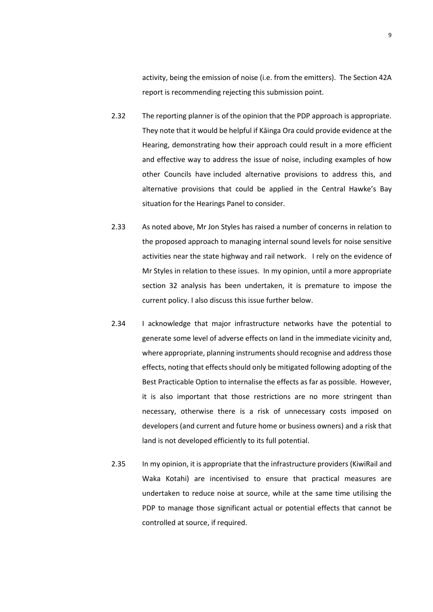activity, being the emission of noise (i.e. from the emitters). The Section 42A report is recommending rejecting this submission point.

- 2.32 The reporting planner is of the opinion that the PDP approach is appropriate. They note that it would be helpful if Kāinga Ora could provide evidence at the Hearing, demonstrating how their approach could result in a more efficient and effective way to address the issue of noise, including examples of how other Councils have included alternative provisions to address this, and alternative provisions that could be applied in the Central Hawke's Bay situation for the Hearings Panel to consider.
- 2.33 As noted above, Mr Jon Styles has raised a number of concerns in relation to the proposed approach to managing internal sound levels for noise sensitive activities near the state highway and rail network. I rely on the evidence of Mr Styles in relation to these issues. In my opinion, until a more appropriate section 32 analysis has been undertaken, it is premature to impose the current policy. I also discuss this issue further below.
- 2.34 I acknowledge that major infrastructure networks have the potential to generate some level of adverse effects on land in the immediate vicinity and, where appropriate, planning instruments should recognise and address those effects, noting that effects should only be mitigated following adopting of the Best Practicable Option to internalise the effects as far as possible. However, it is also important that those restrictions are no more stringent than necessary, otherwise there is a risk of unnecessary costs imposed on developers (and current and future home or business owners) and a risk that land is not developed efficiently to its full potential.
- 2.35 In my opinion, it is appropriate that the infrastructure providers (KiwiRail and Waka Kotahi) are incentivised to ensure that practical measures are undertaken to reduce noise at source, while at the same time utilising the PDP to manage those significant actual or potential effects that cannot be controlled at source, if required.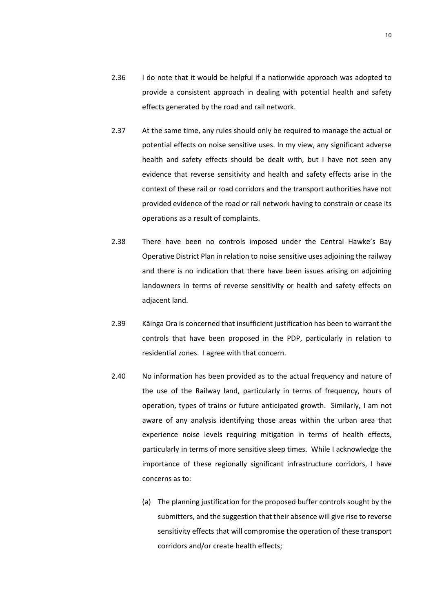- 2.36 I do note that it would be helpful if a nationwide approach was adopted to provide a consistent approach in dealing with potential health and safety effects generated by the road and rail network.
- 2.37 At the same time, any rules should only be required to manage the actual or potential effects on noise sensitive uses. In my view, any significant adverse health and safety effects should be dealt with, but I have not seen any evidence that reverse sensitivity and health and safety effects arise in the context of these rail or road corridors and the transport authorities have not provided evidence of the road or rail network having to constrain or cease its operations as a result of complaints.
- 2.38 There have been no controls imposed under the Central Hawke's Bay Operative District Plan in relation to noise sensitive uses adjoining the railway and there is no indication that there have been issues arising on adjoining landowners in terms of reverse sensitivity or health and safety effects on adjacent land.
- 2.39 Kāinga Ora is concerned that insufficient justification has been to warrant the controls that have been proposed in the PDP, particularly in relation to residential zones. I agree with that concern.
- 2.40 No information has been provided as to the actual frequency and nature of the use of the Railway land, particularly in terms of frequency, hours of operation, types of trains or future anticipated growth. Similarly, I am not aware of any analysis identifying those areas within the urban area that experience noise levels requiring mitigation in terms of health effects, particularly in terms of more sensitive sleep times. While I acknowledge the importance of these regionally significant infrastructure corridors, I have concerns as to:
	- (a) The planning justification for the proposed buffer controls sought by the submitters, and the suggestion that their absence will give rise to reverse sensitivity effects that will compromise the operation of these transport corridors and/or create health effects;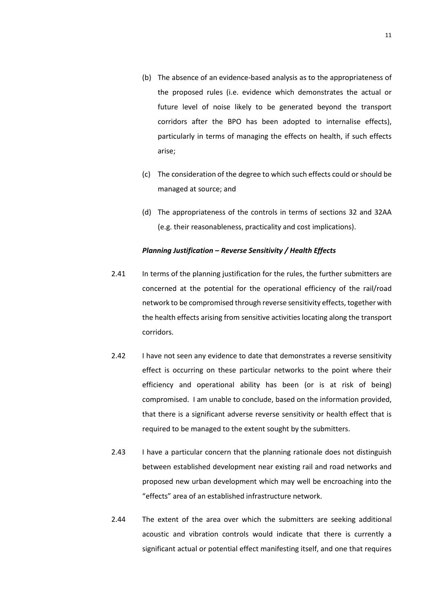- (b) The absence of an evidence-based analysis as to the appropriateness of the proposed rules (i.e. evidence which demonstrates the actual or future level of noise likely to be generated beyond the transport corridors after the BPO has been adopted to internalise effects), particularly in terms of managing the effects on health, if such effects arise;
- (c) The consideration of the degree to which such effects could or should be managed at source; and
- (d) The appropriateness of the controls in terms of sections 32 and 32AA (e.g. their reasonableness, practicality and cost implications).

#### *Planning Justification – Reverse Sensitivity / Health Effects*

- 2.41 In terms of the planning justification for the rules, the further submitters are concerned at the potential for the operational efficiency of the rail/road network to be compromised through reverse sensitivity effects, together with the health effects arising from sensitive activities locating along the transport corridors.
- 2.42 I have not seen any evidence to date that demonstrates a reverse sensitivity effect is occurring on these particular networks to the point where their efficiency and operational ability has been (or is at risk of being) compromised. I am unable to conclude, based on the information provided, that there is a significant adverse reverse sensitivity or health effect that is required to be managed to the extent sought by the submitters.
- 2.43 I have a particular concern that the planning rationale does not distinguish between established development near existing rail and road networks and proposed new urban development which may well be encroaching into the "effects" area of an established infrastructure network.
- 2.44 The extent of the area over which the submitters are seeking additional acoustic and vibration controls would indicate that there is currently a significant actual or potential effect manifesting itself, and one that requires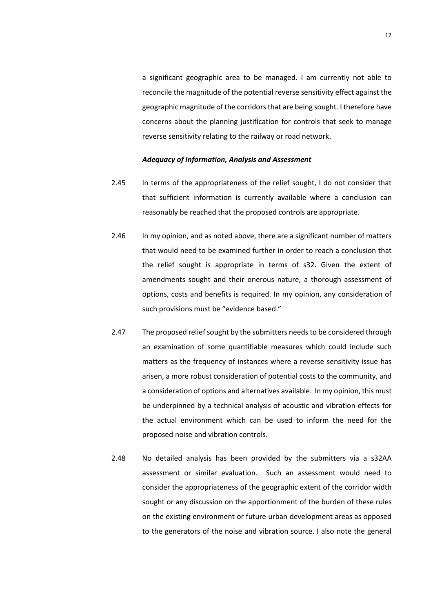a significant geographic area to be managed. I am currently not able to reconcile the magnitude of the potential reverse sensitivity effect against the geographic magnitude of the corridors that are being sought. I therefore have concerns about the planning justification for controls that seek to manage reverse sensitivity relating to the railway or road network.

#### *Adequacy of Information, Analysis and Assessment*

- 2.45 In terms of the appropriateness of the relief sought, I do not consider that that sufficient information is currently available where a conclusion can reasonably be reached that the proposed controls are appropriate.
- 2.46 In my opinion, and as noted above, there are a significant number of matters that would need to be examined further in order to reach a conclusion that the relief sought is appropriate in terms of s32. Given the extent of amendments sought and their onerous nature, a thorough assessment of options, costs and benefits is required. In my opinion, any consideration of such provisions must be "evidence based."
- 2.47 The proposed relief sought by the submitters needs to be considered through an examination of some quantifiable measures which could include such matters as the frequency of instances where a reverse sensitivity issue has arisen, a more robust consideration of potential costs to the community, and a consideration of options and alternatives available. In my opinion, this must be underpinned by a technical analysis of acoustic and vibration effects for the actual environment which can be used to inform the need for the proposed noise and vibration controls.
- 2.48 No detailed analysis has been provided by the submitters via a s32AA assessment or similar evaluation. Such an assessment would need to consider the appropriateness of the geographic extent of the corridor width sought or any discussion on the apportionment of the burden of these rules on the existing environment or future urban development areas as opposed to the generators of the noise and vibration source. I also note the general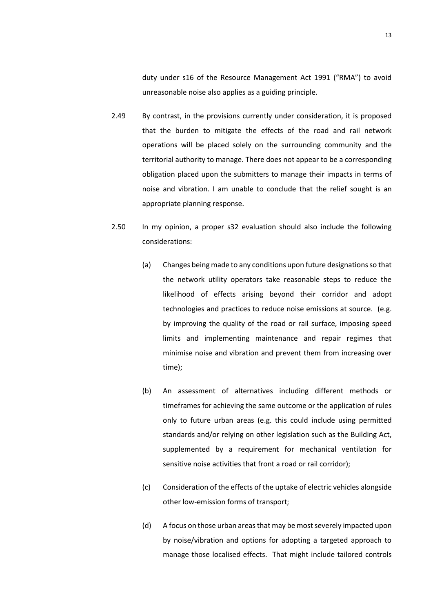duty under s16 of the Resource Management Act 1991 ("RMA") to avoid unreasonable noise also applies as a guiding principle.

- 2.49 By contrast, in the provisions currently under consideration, it is proposed that the burden to mitigate the effects of the road and rail network operations will be placed solely on the surrounding community and the territorial authority to manage. There does not appear to be a corresponding obligation placed upon the submitters to manage their impacts in terms of noise and vibration. I am unable to conclude that the relief sought is an appropriate planning response.
- 2.50 In my opinion, a proper s32 evaluation should also include the following considerations:
	- (a) Changes being made to any conditions upon future designations so that the network utility operators take reasonable steps to reduce the likelihood of effects arising beyond their corridor and adopt technologies and practices to reduce noise emissions at source. (e.g. by improving the quality of the road or rail surface, imposing speed limits and implementing maintenance and repair regimes that minimise noise and vibration and prevent them from increasing over time);
	- (b) An assessment of alternatives including different methods or timeframes for achieving the same outcome or the application of rules only to future urban areas (e.g. this could include using permitted standards and/or relying on other legislation such as the Building Act, supplemented by a requirement for mechanical ventilation for sensitive noise activities that front a road or rail corridor);
	- (c) Consideration of the effects of the uptake of electric vehicles alongside other low-emission forms of transport;
	- (d) A focus on those urban areas that may be most severely impacted upon by noise/vibration and options for adopting a targeted approach to manage those localised effects. That might include tailored controls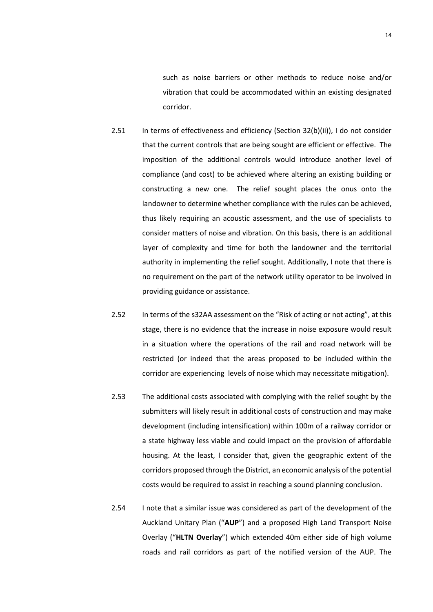such as noise barriers or other methods to reduce noise and/or vibration that could be accommodated within an existing designated corridor.

- 2.51 In terms of effectiveness and efficiency (Section 32(b)(ii)), I do not consider that the current controls that are being sought are efficient or effective. The imposition of the additional controls would introduce another level of compliance (and cost) to be achieved where altering an existing building or constructing a new one. The relief sought places the onus onto the landowner to determine whether compliance with the rules can be achieved, thus likely requiring an acoustic assessment, and the use of specialists to consider matters of noise and vibration. On this basis, there is an additional layer of complexity and time for both the landowner and the territorial authority in implementing the relief sought. Additionally, I note that there is no requirement on the part of the network utility operator to be involved in providing guidance or assistance.
- 2.52 In terms of the s32AA assessment on the "Risk of acting or not acting", at this stage, there is no evidence that the increase in noise exposure would result in a situation where the operations of the rail and road network will be restricted (or indeed that the areas proposed to be included within the corridor are experiencing levels of noise which may necessitate mitigation).
- 2.53 The additional costs associated with complying with the relief sought by the submitters will likely result in additional costs of construction and may make development (including intensification) within 100m of a railway corridor or a state highway less viable and could impact on the provision of affordable housing. At the least, I consider that, given the geographic extent of the corridors proposed through the District, an economic analysis of the potential costs would be required to assist in reaching a sound planning conclusion.
- 2.54 I note that a similar issue was considered as part of the development of the Auckland Unitary Plan ("**AUP**") and a proposed High Land Transport Noise Overlay ("**HLTN Overlay**") which extended 40m either side of high volume roads and rail corridors as part of the notified version of the AUP. The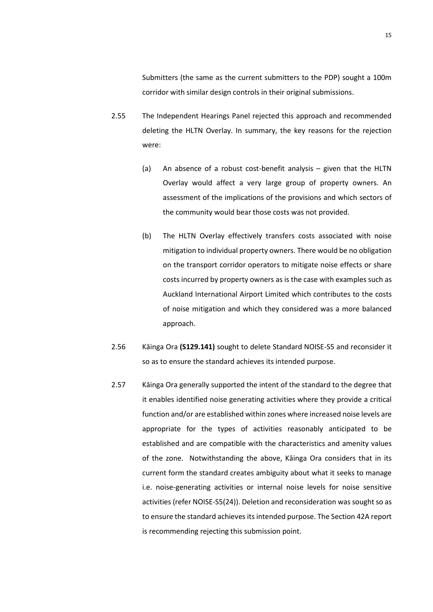Submitters (the same as the current submitters to the PDP) sought a 100m corridor with similar design controls in their original submissions.

- 2.55 The Independent Hearings Panel rejected this approach and recommended deleting the HLTN Overlay. In summary, the key reasons for the rejection were:
	- (a) An absence of a robust cost-benefit analysis given that the HLTN Overlay would affect a very large group of property owners. An assessment of the implications of the provisions and which sectors of the community would bear those costs was not provided.
	- (b) The HLTN Overlay effectively transfers costs associated with noise mitigation to individual property owners. There would be no obligation on the transport corridor operators to mitigate noise effects or share costs incurred by property owners as is the case with examples such as Auckland International Airport Limited which contributes to the costs of noise mitigation and which they considered was a more balanced approach.
- 2.56 Kāinga Ora **(S129.141)** sought to delete Standard NOISE-S5 and reconsider it so as to ensure the standard achieves its intended purpose.
- 2.57 Kāinga Ora generally supported the intent of the standard to the degree that it enables identified noise generating activities where they provide a critical function and/or are established within zones where increased noise levels are appropriate for the types of activities reasonably anticipated to be established and are compatible with the characteristics and amenity values of the zone. Notwithstanding the above, Kāinga Ora considers that in its current form the standard creates ambiguity about what it seeks to manage i.e. noise-generating activities or internal noise levels for noise sensitive activities (refer NOISE-S5(24)). Deletion and reconsideration was sought so as to ensure the standard achieves its intended purpose. The Section 42A report is recommending rejecting this submission point.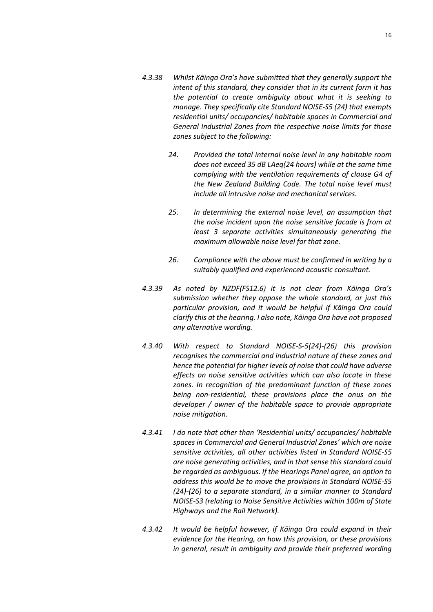- *4.3.38 Whilst Kāinga Ora's have submitted that they generally support the intent of this standard, they consider that in its current form it has the potential to create ambiguity about what it is seeking to manage. They specifically cite Standard NOISE-S5 (24) that exempts residential units/ occupancies/ habitable spaces in Commercial and General Industrial Zones from the respective noise limits for those zones subject to the following:*
	- *24. Provided the total internal noise level in any habitable room does not exceed 35 dB LAeq(24 hours) while at the same time complying with the ventilation requirements of clause G4 of the New Zealand Building Code. The total noise level must include all intrusive noise and mechanical services.*
	- *25. In determining the external noise level, an assumption that the noise incident upon the noise sensitive facade is from at least 3 separate activities simultaneously generating the maximum allowable noise level for that zone.*
	- *26. Compliance with the above must be confirmed in writing by a suitably qualified and experienced acoustic consultant.*
- *4.3.39 As noted by NZDF(FS12.6) it is not clear from Kāinga Ora's submission whether they oppose the whole standard, or just this particular provision, and it would be helpful if Kāinga Ora could clarify this at the hearing. I also note, Kāinga Ora have not proposed any alternative wording.*
- *4.3.40 With respect to Standard NOISE-S-5(24)-(26) this provision recognises the commercial and industrial nature of these zones and hence the potential for higher levels of noise that could have adverse effects on noise sensitive activities which can also locate in these zones. In recognition of the predominant function of these zones being non-residential, these provisions place the onus on the developer / owner of the habitable space to provide appropriate noise mitigation.*
- *4.3.41 I do note that other than 'Residential units/ occupancies/ habitable spaces in Commercial and General Industrial Zones' which are noise sensitive activities, all other activities listed in Standard NOISE-S5 are noise generating activities, and in that sense this standard could be regarded as ambiguous. If the Hearings Panel agree, an option to address this would be to move the provisions in Standard NOISE-S5 (24)-(26) to a separate standard, in a similar manner to Standard NOISE-S3 (relating to Noise Sensitive Activities within 100m of State Highways and the Rail Network).*
- *4.3.42 It would be helpful however, if Kāinga Ora could expand in their evidence for the Hearing, on how this provision, or these provisions in general, result in ambiguity and provide their preferred wording*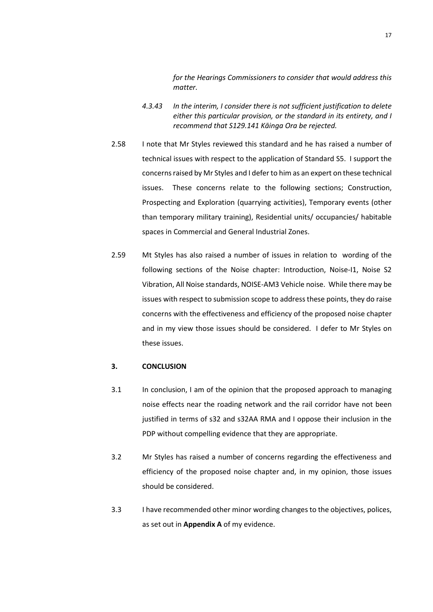*for the Hearings Commissioners to consider that would address this matter.*

- *4.3.43 In the interim, I consider there is not sufficient justification to delete either this particular provision, or the standard in its entirety, and I recommend that S129.141 Kāinga Ora be rejected.*
- 2.58 I note that Mr Styles reviewed this standard and he has raised a number of technical issues with respect to the application of Standard S5. I support the concerns raised by Mr Styles and I defer to him as an expert on these technical issues. These concerns relate to the following sections; Construction, Prospecting and Exploration (quarrying activities), Temporary events (other than temporary military training), Residential units/ occupancies/ habitable spaces in Commercial and General Industrial Zones.
- 2.59 Mt Styles has also raised a number of issues in relation to wording of the following sections of the Noise chapter: Introduction, Noise-I1, Noise S2 Vibration, All Noise standards, NOISE-AM3 Vehicle noise. While there may be issues with respect to submission scope to address these points, they do raise concerns with the effectiveness and efficiency of the proposed noise chapter and in my view those issues should be considered. I defer to Mr Styles on these issues.

#### **3. CONCLUSION**

- 3.1 In conclusion, I am of the opinion that the proposed approach to managing noise effects near the roading network and the rail corridor have not been justified in terms of s32 and s32AA RMA and I oppose their inclusion in the PDP without compelling evidence that they are appropriate.
- 3.2 Mr Styles has raised a number of concerns regarding the effectiveness and efficiency of the proposed noise chapter and, in my opinion, those issues should be considered.
- 3.3 I have recommended other minor wording changes to the objectives, polices, as set out in **Appendix A** of my evidence.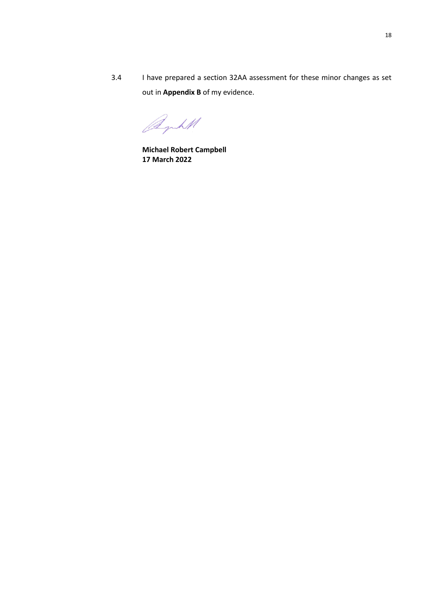3.4 I have prepared a section 32AA assessment for these minor changes as set out in **Appendix B** of my evidence.

Byht

**Michael Robert Campbell 17 March 2022**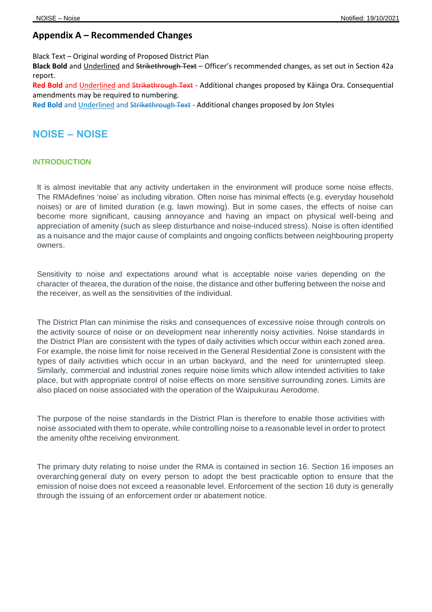# **Appendix A – Recommended Changes**

Black Text – Original wording of Proposed District Plan

**Black Bold** and Underlined and Strikethrough Text – Officer's recommended changes, as set out in Section 42a report.

Red Bold and Underlined and Strikethrough Text - Additional changes proposed by Kāinga Ora. Consequential amendments may be required to numbering.

**Red Bold** and Underlined and Strikethrough Text - Additional changes proposed by Jon Styles

# **NOISE – NOISE**

# **INTRODUCTION**

It is almost inevitable that any activity undertaken in the environment will produce some noise effects. The RMAdefines 'noise' as including vibration. Often noise has minimal effects (e.g. everyday household noises) or are of limited duration (e.g. lawn mowing). But in some cases, the effects of noise can become more significant, causing annoyance and having an impact on physical well-being and appreciation of amenity (such as sleep disturbance and noise-induced stress). Noise is often identified as a nuisance and the major cause of complaints and ongoing conflicts between neighbouring property owners.

Sensitivity to noise and expectations around what is acceptable noise varies depending on the character of thearea, the duration of the noise, the distance and other buffering between the noise and the receiver, as well as the sensitivities of the individual.

The District Plan can minimise the risks and consequences of excessive noise through controls on the activity source of noise or on development near inherently noisy activities. Noise standards in the District Plan are consistent with the types of daily activities which occur within each zoned area. For example, the noise limit for noise received in the General Residential Zone is consistent with the types of daily activities which occur in an urban backyard, and the need for uninterrupted sleep. Similarly, commercial and industrial zones require noise limits which allow intended activities to take place, but with appropriate control of noise effects on more sensitive surrounding zones. Limits are also placed on noise associated with the operation of the Waipukurau Aerodome.

The purpose of the noise standards in the District Plan is therefore to enable those activities with noise associated with them to operate, while controlling noise to a reasonable level in order to protect the amenity ofthe receiving environment.

The primary duty relating to noise under the RMA is contained in section 16. Section 16 imposes an overarching general duty on every person to adopt the best practicable option to ensure that the emission of noise does not exceed a reasonable level. Enforcement of the section 16 duty is generally through the issuing of an enforcement order or abatement notice.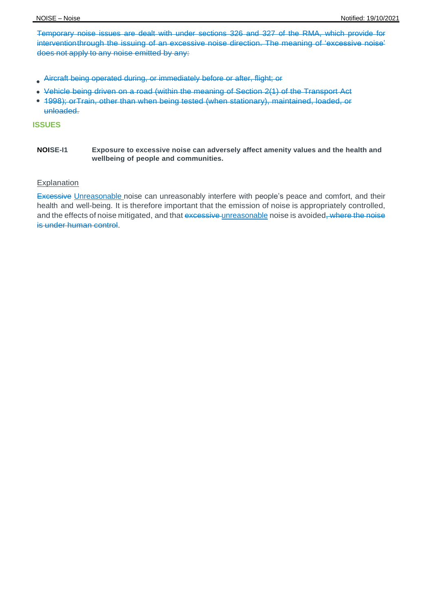Temporary noise issues are dealt with under sections 326 and 327 of the RMA, which provide for interventionthrough the issuing of an excessive noise direction. The meaning of 'excessive noise' does not apply to any noise emitted by any:

- Aircraft being operated during, or immediately before or after, flight; or
- Vehicle being driven on a road (within the meaning of Section 2(1) of the Transport Act
- 1998); orTrain, other than when being tested (when stationary), maintained, loaded, or unloaded.

# **ISSUES**

**NOISE-I1 Exposure to excessive noise can adversely affect amenity values and the health and wellbeing of people and communities.**

# Explanation

Excessive Unreasonable noise can unreasonably interfere with people's peace and comfort, and their health and well-being. It is therefore important that the emission of noise is appropriately controlled, and the effects of noise mitigated, and that excessive unreasonable noise is avoided, where the noise is under human control.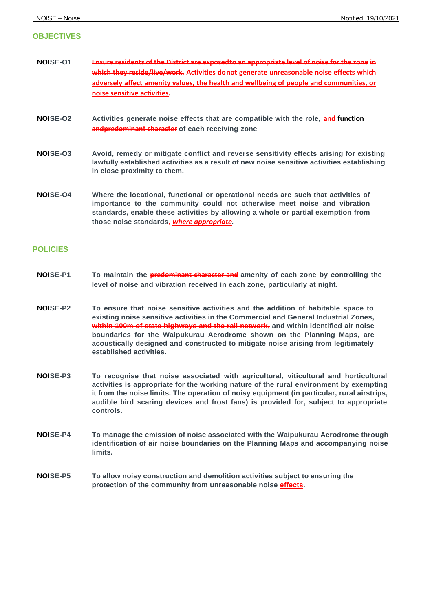# **OBJECTIVES**

- **NOISE-O1 Ensure residents of the District are exposed to an appropriate level of noise for the zone in which they reside/live/work. Activities do not generate unreasonable noise effects which adversely affect amenity values, the health and wellbeing of people and communities, or noise sensitive activities***.*
- **NOISE-O2 Activities generate noise effects that are compatible with the role, and function andpredominant character of each receiving zone**
- **NOISE-O3 Avoid, remedy or mitigate conflict and reverse sensitivity effects arising for existing lawfully established activities as a result of new noise sensitive activities establishing in close proximity to them.**
- **NOISE-O4 Where the locational, functional or operational needs are such that activities of importance to the community could not otherwise meet noise and vibration standards, enable these activities by allowing a whole or partial exemption from those noise standards,** *where appropriate.*

# **POLICIES**

- **NOISE-P1 To maintain the predominant character and amenity of each zone by controlling the level of noise and vibration received in each zone, particularly at night.**
- **NOISE-P2 To ensure that noise sensitive activities and the addition of habitable space to existing noise sensitive activities in the Commercial and General Industrial Zones, within 100m of state highways and the rail network, and within identified air noise boundaries for the Waipukurau Aerodrome shown on the Planning Maps, are acoustically designed and constructed to mitigate noise arising from legitimately established activities.**
- **NOISE-P3 To recognise that noise associated with agricultural, viticultural and horticultural activities is appropriate for the working nature of the rural environment by exempting it from the noise limits. The operation of noisy equipment (in particular, rural airstrips, audible bird scaring devices and frost fans) is provided for, subject to appropriate controls.**
- **NOISE-P4 To manage the emission of noise associated with the Waipukurau Aerodrome through identification of air noise boundaries on the Planning Maps and accompanying noise limits.**
- **NOISE-P5 To allow noisy construction and demolition activities subject to ensuring the protection of the community from unreasonable noise effects.**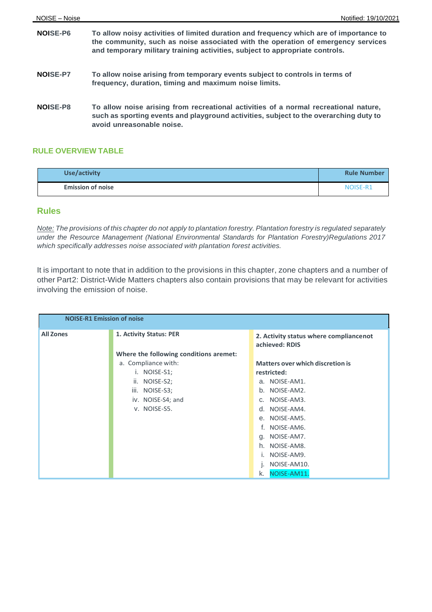| NOISE-P6        | To allow noisy activities of limited duration and frequency which are of importance to<br>the community, such as noise associated with the operation of emergency services<br>and temporary military training activities, subject to appropriate controls. |
|-----------------|------------------------------------------------------------------------------------------------------------------------------------------------------------------------------------------------------------------------------------------------------------|
| <b>NOISE-P7</b> | To allow noise arising from temporary events subject to controls in terms of<br>frequency, duration, timing and maximum noise limits.                                                                                                                      |
| NOISE-P8        | To allow noise arising from recreational activities of a normal recreational nature,<br>such as sporting events and playground activities, subject to the overarching duty to<br>avoid unreasonable noise.                                                 |

# **RULE OVERVIEW TABLE**

| Use/activity             | <b>Rule Number</b> |
|--------------------------|--------------------|
| <b>Emission of noise</b> | NOISE-R1           |

# **Rules**

Note: The provisions of this chapter do not apply to plantation forestry. Plantation forestry is regulated separately *under the Resource Management (National Environmental Standards for Plantation Forestry)Regulations 2017 which specifically addresses noise associated with plantation forest activities.*

It is important to note that in addition to the provisions in this chapter, zone chapters and a number of other Part2: District-Wide Matters chapters also contain provisions that may be relevant for activities involving the emission of noise.

| <b>NOISE-R1 Emission of noise</b> |                                        |                                                          |
|-----------------------------------|----------------------------------------|----------------------------------------------------------|
| <b>All Zones</b>                  | 1. Activity Status: PER                | 2. Activity status where compliancenot<br>achieved: RDIS |
|                                   | Where the following conditions aremet: |                                                          |
|                                   | a. Compliance with:                    | <b>Matters over which discretion is</b>                  |
|                                   | i. NOISE-S1;                           | restricted:                                              |
|                                   | NOISE-S2;<br>ii.                       | a. NOISE-AM1.                                            |
|                                   | iii.<br>NOISE-S3;                      | b. NOISE-AM2.                                            |
|                                   | iv. NOISE-S4; and                      | c. NOISE-AM3.                                            |
|                                   | V. NOISE-S5.                           | d. NOISE-AM4.                                            |
|                                   |                                        | e. NOISE-AM5.                                            |
|                                   |                                        | f. NOISE-AM6.                                            |
|                                   |                                        | g. NOISE-AM7.                                            |
|                                   |                                        | h. NOISE-AM8.                                            |
|                                   |                                        | NOISE-AM9.<br>ı.                                         |
|                                   |                                        | NOISE-AM10.<br>ı.                                        |
|                                   |                                        | NOISE-AM11.<br>k.                                        |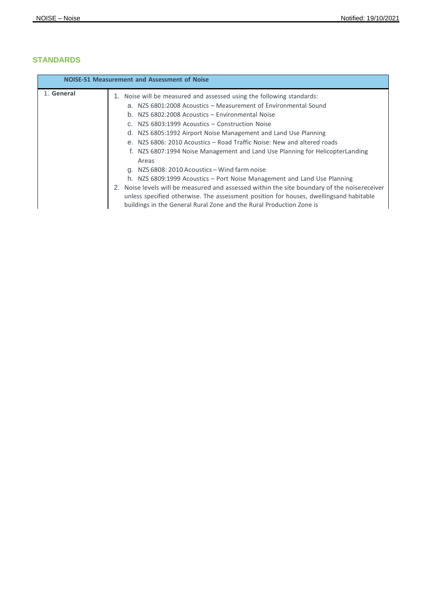# **STANDARDS**

| <b>NOISE-S1 Measurement and Assessment of Noise</b> |                                                                                                |
|-----------------------------------------------------|------------------------------------------------------------------------------------------------|
| 1. General                                          | 1. Noise will be measured and assessed using the following standards:                          |
|                                                     | a. NZS 6801:2008 Acoustics – Measurement of Environmental Sound                                |
|                                                     | b. NZS 6802:2008 Acoustics - Environmental Noise                                               |
|                                                     | c. NZS 6803:1999 Acoustics - Construction Noise                                                |
|                                                     | d. NZS 6805:1992 Airport Noise Management and Land Use Planning                                |
|                                                     | e. NZS 6806: 2010 Acoustics - Road Traffic Noise: New and altered roads                        |
|                                                     | f. NZS 6807:1994 Noise Management and Land Use Planning for HelicopterLanding                  |
|                                                     | Areas                                                                                          |
|                                                     | g. NZS 6808: 2010 Acoustics - Wind farm noise                                                  |
|                                                     | h. NZS 6809:1999 Acoustics – Port Noise Management and Land Use Planning                       |
|                                                     | Noise levels will be measured and assessed within the site boundary of the noisereceiver<br>2. |
|                                                     | unless specified otherwise. The assessment position for houses, dwellingsand habitable         |
|                                                     | buildings in the General Rural Zone and the Rural Production Zone is                           |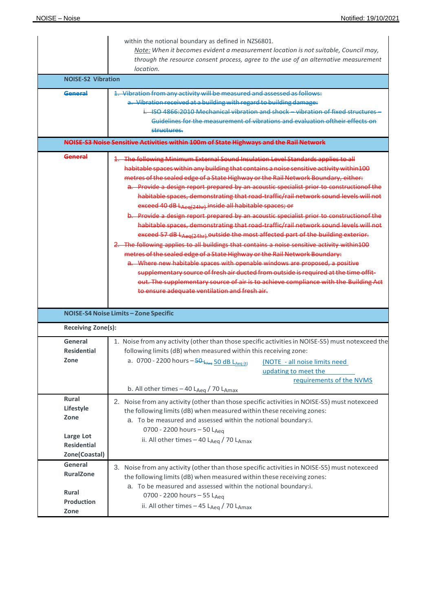|                                                                                       | within the notional boundary as defined in NZS6801.<br>Note: When it becomes evident a measurement location is not suitable, Council may,<br>through the resource consent process, agree to the use of an alternative measurement<br>location.                                                                                                                                                                                                                                                                                                                                                                                                                                                                                                                                                                                                                                                                                                                                                                                                                                                                                                                                                                                                                                              |
|---------------------------------------------------------------------------------------|---------------------------------------------------------------------------------------------------------------------------------------------------------------------------------------------------------------------------------------------------------------------------------------------------------------------------------------------------------------------------------------------------------------------------------------------------------------------------------------------------------------------------------------------------------------------------------------------------------------------------------------------------------------------------------------------------------------------------------------------------------------------------------------------------------------------------------------------------------------------------------------------------------------------------------------------------------------------------------------------------------------------------------------------------------------------------------------------------------------------------------------------------------------------------------------------------------------------------------------------------------------------------------------------|
| <b>NOISE-S2 Vibration</b>                                                             |                                                                                                                                                                                                                                                                                                                                                                                                                                                                                                                                                                                                                                                                                                                                                                                                                                                                                                                                                                                                                                                                                                                                                                                                                                                                                             |
| General                                                                               | 1. Vibration from any activity will be measured and assessed as follows:<br>a. Vibration received at a building with regard to building damage:<br>i. ISO 4866:2010 Mechanical vibration and shock - vibration of fixed structure<br>Guidelines for the measurement of vibrations and evaluation of their effects on<br>structures.                                                                                                                                                                                                                                                                                                                                                                                                                                                                                                                                                                                                                                                                                                                                                                                                                                                                                                                                                         |
|                                                                                       | NOISE-S3 Noise Sensitive Activities within 100m of State Highways and the Rail Network                                                                                                                                                                                                                                                                                                                                                                                                                                                                                                                                                                                                                                                                                                                                                                                                                                                                                                                                                                                                                                                                                                                                                                                                      |
| General                                                                               | 1. The following Minimum External Sound Insulation Level Standards applies to all<br>habitable spaces within any building that contains a noise sensitive activity within 100<br>metres of the sealed edge of a State Highway or the Rail Network Boundary, either:<br>a. Provide a design report prepared by an acoustic specialist prior to constructionof the<br>habitable spaces, demonstrating that road-traffic/rail network sound levels will not<br>exceed 40 dB LAeg(24hr) inside all habitable spaces; or<br>b. Provide a design report prepared by an acoustic specialist prior to construction of the<br>habitable spaces, demonstrating that road-traffic/rail network sound levels will not<br>exceed 57 dB LAeg(24hr) outside the most affected part of the building exterior.<br>2. The following applies to all buildings that contains a noise sensitive activity within100<br>metres of the sealed edge of a State Highway or the Rail Network Boundary:<br>a. Where new habitable spaces with openable windows are proposed, a positive<br>supplementary source of fresh air ducted from outside is required at the time offit-<br>out. The supplementary source of air is to achieve compliance with the Building Act<br>to ensure adequate ventilation and fresh air. |
|                                                                                       | NOISE-S4 Noise Limits-Zone Specific                                                                                                                                                                                                                                                                                                                                                                                                                                                                                                                                                                                                                                                                                                                                                                                                                                                                                                                                                                                                                                                                                                                                                                                                                                                         |
| Receiving Zone(s):                                                                    |                                                                                                                                                                                                                                                                                                                                                                                                                                                                                                                                                                                                                                                                                                                                                                                                                                                                                                                                                                                                                                                                                                                                                                                                                                                                                             |
| General<br><b>Residential</b><br>Zone                                                 | 1. Noise from any activity (other than those specific activities in NOISE-S5) must notexceed the<br>following limits (dB) when measured within this receiving zone:<br>a. 0700 - 2200 hours - 50 LAeq 50 dB LAeq (t)<br>(NOTE - all noise limits need<br>updating to meet the<br>requirements of the NVMS<br>b. All other times $-$ 40 L <sub>Aeq</sub> / 70 L <sub>Amax</sub>                                                                                                                                                                                                                                                                                                                                                                                                                                                                                                                                                                                                                                                                                                                                                                                                                                                                                                              |
| <b>Rural</b><br>Lifestyle<br>Zone<br>Large Lot<br><b>Residential</b><br>Zone(Coastal) | 2. Noise from any activity (other than those specific activities in NOISE-S5) must notexceed<br>the following limits (dB) when measured within these receiving zones:<br>a. To be measured and assessed within the notional boundary:i.<br>0700 - 2200 hours - 50 LAeq<br>ii. All other times $-40$ L <sub>Aeg</sub> / 70 L <sub>Amax</sub>                                                                                                                                                                                                                                                                                                                                                                                                                                                                                                                                                                                                                                                                                                                                                                                                                                                                                                                                                 |
| General<br><b>RuralZone</b><br><b>Rural</b><br>Production<br>Zone                     | 3. Noise from any activity (other than those specific activities in NOISE-S5) must notexceed<br>the following limits (dB) when measured within these receiving zones:<br>a. To be measured and assessed within the notional boundary:i.<br>0700 - 2200 hours - 55 LAeq<br>ii. All other times - 45 LAeq / 70 LAmax                                                                                                                                                                                                                                                                                                                                                                                                                                                                                                                                                                                                                                                                                                                                                                                                                                                                                                                                                                          |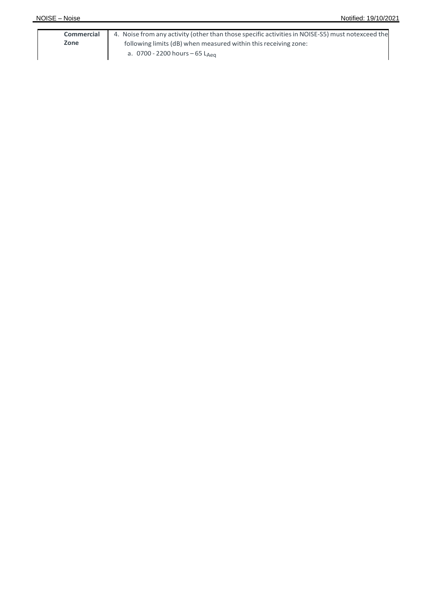| Commercial | 4. Noise from any activity (other than those specific activities in NOISE-S5) must notexceed the |
|------------|--------------------------------------------------------------------------------------------------|
| Zone       | following limits (dB) when measured within this receiving zone:                                  |
|            | a.0700 - 2200 hours — 65 L <sub>Aeg</sub>                                                        |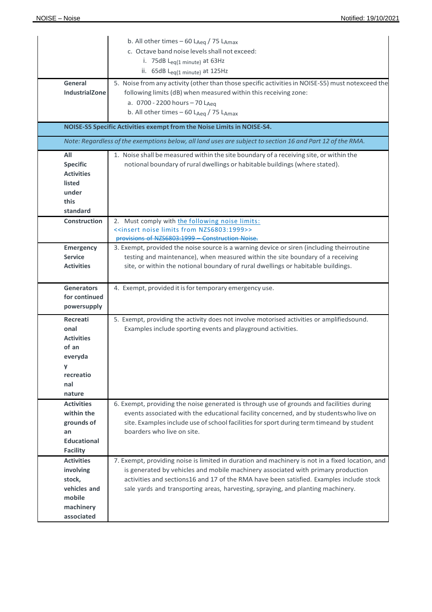|                                                                                                     | b. All other times - 60 LAeq / 75 LAmax<br>c. Octave band noise levels shall not exceed:<br>i. 75dB $L_{eq(1 \text{ minute})}$ at 63Hz<br>ii. $65dB$ L <sub>eg</sub> (1 minute) at 125Hz                                                                                                                                                                           |
|-----------------------------------------------------------------------------------------------------|--------------------------------------------------------------------------------------------------------------------------------------------------------------------------------------------------------------------------------------------------------------------------------------------------------------------------------------------------------------------|
| General<br><b>IndustrialZone</b>                                                                    | 5. Noise from any activity (other than those specific activities in NOISE-S5) must notexceed the<br>following limits (dB) when measured within this receiving zone:<br>a. 0700 - 2200 hours - 70 LAeq<br>b. All other times $-60$ L <sub>Aeg</sub> / 75 L <sub>Amax</sub>                                                                                          |
|                                                                                                     | NOISE-S5 Specific Activities exempt from the Noise Limits in NOISE-S4.<br>Note: Regardless of the exemptions below, all land uses are subject to section 16 and Part 12 of the RMA.                                                                                                                                                                                |
| All                                                                                                 | 1. Noise shall be measured within the site boundary of a receiving site, or within the                                                                                                                                                                                                                                                                             |
| <b>Specific</b><br><b>Activities</b><br>listed<br>under<br>this<br>standard                         | notional boundary of rural dwellings or habitable buildings (where stated).                                                                                                                                                                                                                                                                                        |
| <b>Construction</b>                                                                                 | 2. Must comply with the following noise limits:<br>< <insert from="" limits="" noise="" nzs6803:1999="">&gt;<br/>provisions of NZS6803:1999 - Construction Noise.</insert>                                                                                                                                                                                         |
| <b>Emergency</b><br><b>Service</b><br><b>Activities</b>                                             | 3. Exempt, provided the noise source is a warning device or siren (including theirroutine<br>testing and maintenance), when measured within the site boundary of a receiving<br>site, or within the notional boundary of rural dwellings or habitable buildings.                                                                                                   |
| <b>Generators</b><br>for continued<br>powersupply                                                   | 4. Exempt, provided it is for temporary emergency use.                                                                                                                                                                                                                                                                                                             |
| <b>Recreati</b><br>onal<br><b>Activities</b><br>of an<br>everyda<br>У<br>recreatio<br>nal<br>nature | 5. Exempt, providing the activity does not involve motorised activities or amplifiedsound.<br>Examples include sporting events and playground activities.                                                                                                                                                                                                          |
| <b>Activities</b><br>within the<br>grounds of<br>an<br><b>Educational</b><br><b>Facility</b>        | 6. Exempt, providing the noise generated is through use of grounds and facilities during<br>events associated with the educational facility concerned, and by studentswho live on<br>site. Examples include use of school facilities for sport during term timeand by student<br>boarders who live on site.                                                        |
| <b>Activities</b><br>involving<br>stock,<br>vehicles and<br>mobile<br>machinery<br>associated       | 7. Exempt, providing noise is limited in duration and machinery is not in a fixed location, and<br>is generated by vehicles and mobile machinery associated with primary production<br>activities and sections16 and 17 of the RMA have been satisfied. Examples include stock<br>sale yards and transporting areas, harvesting, spraying, and planting machinery. |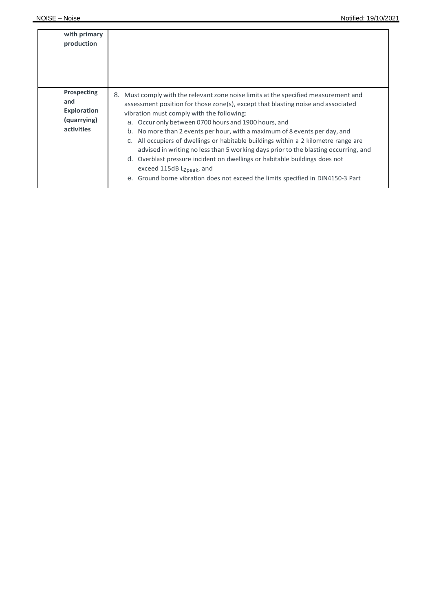| with primary<br>production                                            |                                                                                                                                                                                                                                                                                                                                                                                                                                                                                                                                                                                                                                                                                                                                                         |
|-----------------------------------------------------------------------|---------------------------------------------------------------------------------------------------------------------------------------------------------------------------------------------------------------------------------------------------------------------------------------------------------------------------------------------------------------------------------------------------------------------------------------------------------------------------------------------------------------------------------------------------------------------------------------------------------------------------------------------------------------------------------------------------------------------------------------------------------|
| Prospecting<br>and<br><b>Exploration</b><br>(quarrying)<br>activities | Must comply with the relevant zone noise limits at the specified measurement and<br>8.<br>assessment position for those zone(s), except that blasting noise and associated<br>vibration must comply with the following:<br>a. Occur only between 0700 hours and 1900 hours, and<br>b. No more than 2 events per hour, with a maximum of 8 events per day, and<br>c. All occupiers of dwellings or habitable buildings within a 2 kilometre range are<br>advised in writing no less than 5 working days prior to the blasting occurring, and<br>d. Overblast pressure incident on dwellings or habitable buildings does not<br>exceed 115dB L <sub>Zpeak</sub> , and<br>e. Ground borne vibration does not exceed the limits specified in DIN4150-3 Part |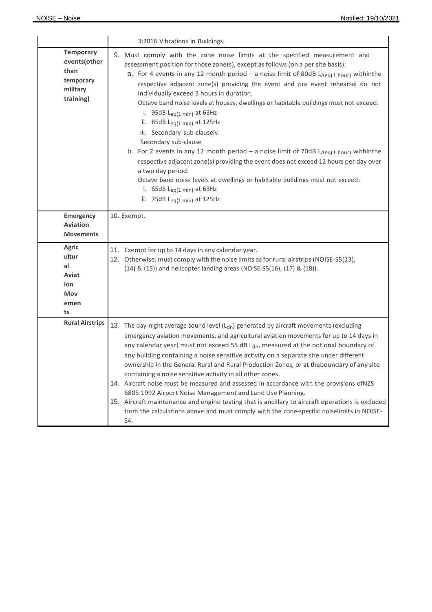|                                                                                | 3:2016 Vibrations in Buildings.                                                                                                                                                                                                                                                                                                                                                                                                                                                                                                                                                                                                                                                                                                                                                                                                                                                                                                                                                    |
|--------------------------------------------------------------------------------|------------------------------------------------------------------------------------------------------------------------------------------------------------------------------------------------------------------------------------------------------------------------------------------------------------------------------------------------------------------------------------------------------------------------------------------------------------------------------------------------------------------------------------------------------------------------------------------------------------------------------------------------------------------------------------------------------------------------------------------------------------------------------------------------------------------------------------------------------------------------------------------------------------------------------------------------------------------------------------|
| <b>Temporary</b><br>events(other<br>than<br>temporary<br>military<br>training) | 9. Must comply with the zone noise limits at the specified measurement and<br>assessment position for those zone(s), except as follows (on a per site basis):<br>a. For 4 events in any 12 month period - a noise limit of 80dB LAeq(1 hour) withinthe<br>respective adjacent zone(s) providing the event and pre event rehearsal do not<br>individually exceed 3 hours in duration.<br>Octave band noise levels at houses, dwellings or habitable buildings must not exceed:<br>i. 95dB $L_{eq(1 min)}$ at 63Hz<br>ii. 85dB $L_{eq(1 min)}$ at 125Hz<br>iii. Secondary sub-clauseiv.<br>Secondary sub-clause<br>b. For 2 events in any 12 month period - a noise limit of 70dB $L_{Aeq(1 hour)}$ withinthe<br>respective adjacent zone(s) providing the event does not exceed 12 hours per day over<br>a two day period.<br>Octave band noise levels at dwellings or habitable buildings must not exceed:<br>i. 85dB $L_{eq(1 min)}$ at 63Hz<br>ii. 75dB $L_{eq(1 min)}$ at 125Hz |
| Emergency<br><b>Aviation</b><br><b>Movements</b>                               | 10. Exempt.                                                                                                                                                                                                                                                                                                                                                                                                                                                                                                                                                                                                                                                                                                                                                                                                                                                                                                                                                                        |
| <b>Agric</b><br>ultur<br>al<br>Aviat<br>ion<br><b>Mov</b><br>emen<br>ts        | 11. Exempt for up to 14 days in any calendar year.<br>12. Otherwise, must comply with the noise limits as for rural airstrips (NOISE-S5(13),<br>(14) & (15)) and helicopter landing areas (NOISE-S5(16), (17) & (18)).                                                                                                                                                                                                                                                                                                                                                                                                                                                                                                                                                                                                                                                                                                                                                             |
| <b>Rural Airstrips</b>                                                         | 13. The day-night average sound level $(Ldn)$ generated by aircraft movements (excluding<br>emergency aviation movements, and agricultural aviation movements for up to 14 days in<br>any calendar year) must not exceed 55 dB Ldn, measured at the notional boundary of<br>any building containing a noise sensitive activity on a separate site under different<br>ownership in the General Rural and Rural Production Zones, or at theboundary of any site<br>containing a noise sensitive activity in all other zones.<br>14. Aircraft noise must be measured and assessed in accordance with the provisions ofNZS<br>6805:1992 Airport Noise Management and Land Use Planning.<br>15. Aircraft maintenance and engine testing that is ancillary to aircraft operations is excluded<br>from the calculations above and must comply with the zone-specific noiselimits in NOISE-<br>S4.                                                                                         |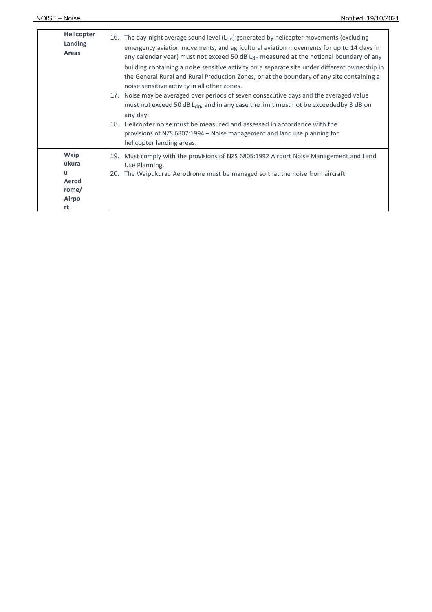| <b>Helicopter</b><br>Landing<br>Areas                      | The day-night average sound level $(L_{dn})$ generated by helicopter movements (excluding<br>16.<br>emergency aviation movements, and agricultural aviation movements for up to 14 days in<br>any calendar year) must not exceed 50 dB $Ldn$ measured at the notional boundary of any<br>building containing a noise sensitive activity on a separate site under different ownership in<br>the General Rural and Rural Production Zones, or at the boundary of any site containing a<br>noise sensitive activity in all other zones.<br>Noise may be averaged over periods of seven consecutive days and the averaged value<br>17.<br>must not exceed 50 dB $L_{\text{dn}}$ , and in any case the limit must not be exceededby 3 dB on<br>any day.<br>18.<br>Helicopter noise must be measured and assessed in accordance with the<br>provisions of NZS 6807:1994 – Noise management and land use planning for<br>helicopter landing areas. |
|------------------------------------------------------------|---------------------------------------------------------------------------------------------------------------------------------------------------------------------------------------------------------------------------------------------------------------------------------------------------------------------------------------------------------------------------------------------------------------------------------------------------------------------------------------------------------------------------------------------------------------------------------------------------------------------------------------------------------------------------------------------------------------------------------------------------------------------------------------------------------------------------------------------------------------------------------------------------------------------------------------------|
| Waip<br>ukura<br>u<br>Aerod<br>rome/<br><b>Airpo</b><br>rt | 19. Must comply with the provisions of NZS 6805:1992 Airport Noise Management and Land<br>Use Planning.<br>The Waipukurau Aerodrome must be managed so that the noise from aircraft<br>20.                                                                                                                                                                                                                                                                                                                                                                                                                                                                                                                                                                                                                                                                                                                                                  |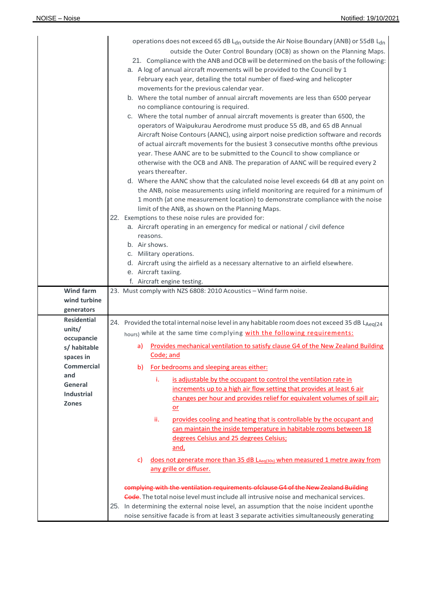|                           | operations does not exceed 65 dB L <sub>dn</sub> outside the Air Noise Boundary (ANB) or 55dB L <sub>dn</sub><br>outside the Outer Control Boundary (OCB) as shown on the Planning Maps.<br>21. Compliance with the ANB and OCB will be determined on the basis of the following:<br>a. A log of annual aircraft movements will be provided to the Council by 1<br>February each year, detailing the total number of fixed-wing and helicopter<br>movements for the previous calendar year.<br>b. Where the total number of annual aircraft movements are less than 6500 peryear<br>no compliance contouring is required.<br>c. Where the total number of annual aircraft movements is greater than 6500, the<br>operators of Waipukurau Aerodrome must produce 55 dB, and 65 dB Annual<br>Aircraft Noise Contours (AANC), using airport noise prediction software and records<br>of actual aircraft movements for the busiest 3 consecutive months ofthe previous<br>year. These AANC are to be submitted to the Council to show compliance or<br>otherwise with the OCB and ANB. The preparation of AANC will be required every 2<br>years thereafter.<br>d. Where the AANC show that the calculated noise level exceeds 64 dB at any point on<br>the ANB, noise measurements using infield monitoring are required for a minimum of<br>1 month (at one measurement location) to demonstrate compliance with the noise<br>limit of the ANB, as shown on the Planning Maps.<br>22. Exemptions to these noise rules are provided for:<br>a. Aircraft operating in an emergency for medical or national / civil defence<br>reasons.<br>b. Air shows.<br>c. Military operations.<br>d. Aircraft using the airfield as a necessary alternative to an airfield elsewhere.<br>e. Aircraft taxiing.<br>f. Aircraft engine testing. |
|---------------------------|------------------------------------------------------------------------------------------------------------------------------------------------------------------------------------------------------------------------------------------------------------------------------------------------------------------------------------------------------------------------------------------------------------------------------------------------------------------------------------------------------------------------------------------------------------------------------------------------------------------------------------------------------------------------------------------------------------------------------------------------------------------------------------------------------------------------------------------------------------------------------------------------------------------------------------------------------------------------------------------------------------------------------------------------------------------------------------------------------------------------------------------------------------------------------------------------------------------------------------------------------------------------------------------------------------------------------------------------------------------------------------------------------------------------------------------------------------------------------------------------------------------------------------------------------------------------------------------------------------------------------------------------------------------------------------------------------------------------------------------------------------------------------------------------------------------------------|
| Wind farm<br>wind turbine | 23. Must comply with NZS 6808: 2010 Acoustics - Wind farm noise.                                                                                                                                                                                                                                                                                                                                                                                                                                                                                                                                                                                                                                                                                                                                                                                                                                                                                                                                                                                                                                                                                                                                                                                                                                                                                                                                                                                                                                                                                                                                                                                                                                                                                                                                                             |
| generators                |                                                                                                                                                                                                                                                                                                                                                                                                                                                                                                                                                                                                                                                                                                                                                                                                                                                                                                                                                                                                                                                                                                                                                                                                                                                                                                                                                                                                                                                                                                                                                                                                                                                                                                                                                                                                                              |
| <b>Residential</b>        | 24. Provided the total internal noise level in any habitable room does not exceed 35 dB LAeq(24                                                                                                                                                                                                                                                                                                                                                                                                                                                                                                                                                                                                                                                                                                                                                                                                                                                                                                                                                                                                                                                                                                                                                                                                                                                                                                                                                                                                                                                                                                                                                                                                                                                                                                                              |
| units/<br>occupancie      | hours) while at the same time complying with the following requirements:                                                                                                                                                                                                                                                                                                                                                                                                                                                                                                                                                                                                                                                                                                                                                                                                                                                                                                                                                                                                                                                                                                                                                                                                                                                                                                                                                                                                                                                                                                                                                                                                                                                                                                                                                     |
| s/ habitable              | Provides mechanical ventilation to satisfy clause G4 of the New Zealand Building<br>a)                                                                                                                                                                                                                                                                                                                                                                                                                                                                                                                                                                                                                                                                                                                                                                                                                                                                                                                                                                                                                                                                                                                                                                                                                                                                                                                                                                                                                                                                                                                                                                                                                                                                                                                                       |
| spaces in                 | Code; and                                                                                                                                                                                                                                                                                                                                                                                                                                                                                                                                                                                                                                                                                                                                                                                                                                                                                                                                                                                                                                                                                                                                                                                                                                                                                                                                                                                                                                                                                                                                                                                                                                                                                                                                                                                                                    |
| <b>Commercial</b><br>and  | For bedrooms and sleeping areas either:<br>b)                                                                                                                                                                                                                                                                                                                                                                                                                                                                                                                                                                                                                                                                                                                                                                                                                                                                                                                                                                                                                                                                                                                                                                                                                                                                                                                                                                                                                                                                                                                                                                                                                                                                                                                                                                                |
| General                   | i.<br>is adjustable by the occupant to control the ventilation rate in                                                                                                                                                                                                                                                                                                                                                                                                                                                                                                                                                                                                                                                                                                                                                                                                                                                                                                                                                                                                                                                                                                                                                                                                                                                                                                                                                                                                                                                                                                                                                                                                                                                                                                                                                       |
| <b>Industrial</b>         | increments up to a high air flow setting that provides at least 6 air<br>changes per hour and provides relief for equivalent volumes of spill air;                                                                                                                                                                                                                                                                                                                                                                                                                                                                                                                                                                                                                                                                                                                                                                                                                                                                                                                                                                                                                                                                                                                                                                                                                                                                                                                                                                                                                                                                                                                                                                                                                                                                           |
| <b>Zones</b>              | or                                                                                                                                                                                                                                                                                                                                                                                                                                                                                                                                                                                                                                                                                                                                                                                                                                                                                                                                                                                                                                                                                                                                                                                                                                                                                                                                                                                                                                                                                                                                                                                                                                                                                                                                                                                                                           |
|                           | ii.<br>provides cooling and heating that is controllable by the occupant and<br>can maintain the inside temperature in habitable rooms between 18<br>degrees Celsius and 25 degrees Celsius;<br>and,                                                                                                                                                                                                                                                                                                                                                                                                                                                                                                                                                                                                                                                                                                                                                                                                                                                                                                                                                                                                                                                                                                                                                                                                                                                                                                                                                                                                                                                                                                                                                                                                                         |
|                           | does not generate more than 35 dB LAeg(30s) when measured 1 metre away from<br>C)<br>any grille or diffuser.                                                                                                                                                                                                                                                                                                                                                                                                                                                                                                                                                                                                                                                                                                                                                                                                                                                                                                                                                                                                                                                                                                                                                                                                                                                                                                                                                                                                                                                                                                                                                                                                                                                                                                                 |
|                           | complying with the ventilation requirements ofclause G4 of the New Zealand Building                                                                                                                                                                                                                                                                                                                                                                                                                                                                                                                                                                                                                                                                                                                                                                                                                                                                                                                                                                                                                                                                                                                                                                                                                                                                                                                                                                                                                                                                                                                                                                                                                                                                                                                                          |
|                           | Gode. The total noise level must include all intrusive noise and mechanical services.                                                                                                                                                                                                                                                                                                                                                                                                                                                                                                                                                                                                                                                                                                                                                                                                                                                                                                                                                                                                                                                                                                                                                                                                                                                                                                                                                                                                                                                                                                                                                                                                                                                                                                                                        |
|                           | In determining the external noise level, an assumption that the noise incident uponthe<br>25.<br>noise sensitive facade is from at least 3 separate activities simultaneously generating                                                                                                                                                                                                                                                                                                                                                                                                                                                                                                                                                                                                                                                                                                                                                                                                                                                                                                                                                                                                                                                                                                                                                                                                                                                                                                                                                                                                                                                                                                                                                                                                                                     |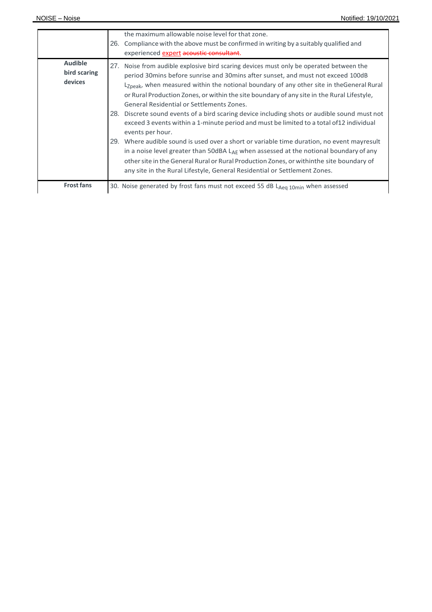|                                           | the maximum allowable noise level for that zone.<br>Compliance with the above must be confirmed in writing by a suitably qualified and<br>26.<br>experienced expert acoustic consultant.                                                                                                                                                                                                                                                                                                                                                                                                                                                                                                                                                        |
|-------------------------------------------|-------------------------------------------------------------------------------------------------------------------------------------------------------------------------------------------------------------------------------------------------------------------------------------------------------------------------------------------------------------------------------------------------------------------------------------------------------------------------------------------------------------------------------------------------------------------------------------------------------------------------------------------------------------------------------------------------------------------------------------------------|
| <b>Audible</b><br>bird scaring<br>devices | 27. Noise from audible explosive bird scaring devices must only be operated between the<br>period 30 mins before sunrise and 30 mins after sunset, and must not exceed 100 dB<br>L <sub>Zpeak</sub> , when measured within the notional boundary of any other site in theGeneral Rural<br>or Rural Production Zones, or within the site boundary of any site in the Rural Lifestyle,<br>General Residential or Settlements Zones.<br>28. Discrete sound events of a bird scaring device including shots or audible sound must not<br>exceed 3 events within a 1-minute period and must be limited to a total of 12 individual<br>events per hour.<br>29. Where audible sound is used over a short or variable time duration, no event mayresult |
| <b>Frost fans</b>                         | in a noise level greater than 50dBA LAE when assessed at the notional boundary of any<br>other site in the General Rural or Rural Production Zones, or within the site boundary of<br>any site in the Rural Lifestyle, General Residential or Settlement Zones.<br>30. Noise generated by frost fans must not exceed 55 dB LAeg 10min when assessed                                                                                                                                                                                                                                                                                                                                                                                             |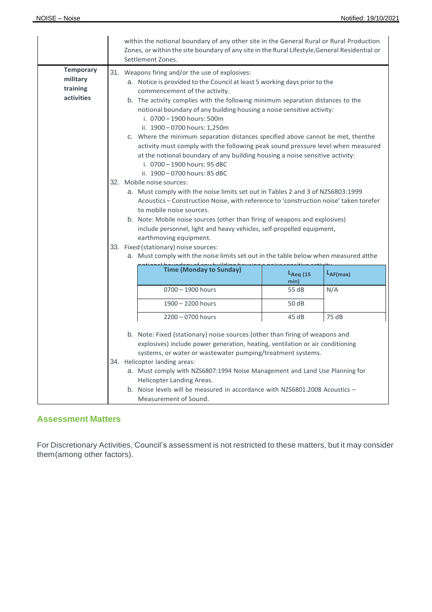|                                                        | within the notional boundary of any other site in the General Rural or Rural Production<br>Zones, or within the site boundary of any site in the Rural Lifestyle, General Residential or<br>Settlement Zones. |                                                                                                                                                                                                                                                                                                                                                                                                                                                                                                                                                                                                                                                                                                                                                                                                                                                                                                                        |                                                                                                                                                                                                                                                                          |               |  |  |
|--------------------------------------------------------|---------------------------------------------------------------------------------------------------------------------------------------------------------------------------------------------------------------|------------------------------------------------------------------------------------------------------------------------------------------------------------------------------------------------------------------------------------------------------------------------------------------------------------------------------------------------------------------------------------------------------------------------------------------------------------------------------------------------------------------------------------------------------------------------------------------------------------------------------------------------------------------------------------------------------------------------------------------------------------------------------------------------------------------------------------------------------------------------------------------------------------------------|--------------------------------------------------------------------------------------------------------------------------------------------------------------------------------------------------------------------------------------------------------------------------|---------------|--|--|
| <b>Temporary</b><br>military<br>training<br>activities |                                                                                                                                                                                                               | 31. Weapons firing and/or the use of explosives:<br>a. Notice is provided to the Council at least 5 working days prior to the<br>commencement of the activity.<br>b. The activity complies with the following minimum separation distances to the<br>notional boundary of any building housing a noise sensitive activity:<br>i. 0700 - 1900 hours: 500m<br>ii. 1900-0700 hours: 1,250m<br>c. Where the minimum separation distances specified above cannot be met, thenthe<br>activity must comply with the following peak sound pressure level when measured<br>at the notional boundary of any building housing a noise sensitive activity:<br>i. 0700 - 1900 hours: 95 dBC<br>ii. 1900 - 0700 hours: 85 dBC<br>32. Mobile noise sources:<br>a. Must comply with the noise limits set out in Tables 2 and 3 of NZS6803:1999<br>Acoustics - Construction Noise, with reference to 'construction noise' taken torefer |                                                                                                                                                                                                                                                                          |               |  |  |
|                                                        |                                                                                                                                                                                                               | earthmoving equipment.<br>33. Fixed (stationary) noise sources:                                                                                                                                                                                                                                                                                                                                                                                                                                                                                                                                                                                                                                                                                                                                                                                                                                                        | to mobile noise sources.<br>b. Note: Mobile noise sources (other than firing of weapons and explosives)<br>include personnel, light and heavy vehicles, self-propelled equipment,<br>a. Must comply with the noise limits set out in the table below when measured atthe |               |  |  |
|                                                        |                                                                                                                                                                                                               | <b>Time (Monday to Sunday)</b>                                                                                                                                                                                                                                                                                                                                                                                                                                                                                                                                                                                                                                                                                                                                                                                                                                                                                         | $L_{Aeq}$ (15                                                                                                                                                                                                                                                            | $L_{AF(max)}$ |  |  |
|                                                        |                                                                                                                                                                                                               |                                                                                                                                                                                                                                                                                                                                                                                                                                                                                                                                                                                                                                                                                                                                                                                                                                                                                                                        | min)                                                                                                                                                                                                                                                                     |               |  |  |
|                                                        |                                                                                                                                                                                                               | $0700 - 1900$ hours                                                                                                                                                                                                                                                                                                                                                                                                                                                                                                                                                                                                                                                                                                                                                                                                                                                                                                    | 55 dB                                                                                                                                                                                                                                                                    | N/A           |  |  |
|                                                        |                                                                                                                                                                                                               | 1900 - 2200 hours                                                                                                                                                                                                                                                                                                                                                                                                                                                                                                                                                                                                                                                                                                                                                                                                                                                                                                      | 50 dB                                                                                                                                                                                                                                                                    |               |  |  |
|                                                        |                                                                                                                                                                                                               | 2200 - 0700 hours                                                                                                                                                                                                                                                                                                                                                                                                                                                                                                                                                                                                                                                                                                                                                                                                                                                                                                      | 45 dB                                                                                                                                                                                                                                                                    | 75 dB         |  |  |
|                                                        |                                                                                                                                                                                                               | b. Note: Fixed (stationary) noise sources (other than firing of weapons and<br>explosives) include power generation, heating, ventilation or air conditioning<br>systems, or water or wastewater pumping/treatment systems.<br>34. Helicopter landing areas:<br>a. Must comply with NZS6807:1994 Noise Management and Land Use Planning for<br>Helicopter Landing Areas.<br>b. Noise levels will be measured in accordance with NZS6801:2008 Acoustics -<br>Measurement of Sound.                                                                                                                                                                                                                                                                                                                                                                                                                                      |                                                                                                                                                                                                                                                                          |               |  |  |

# **Assessment Matters**

For Discretionary Activities, Council's assessment is not restricted to these matters, but it may consider them(among other factors).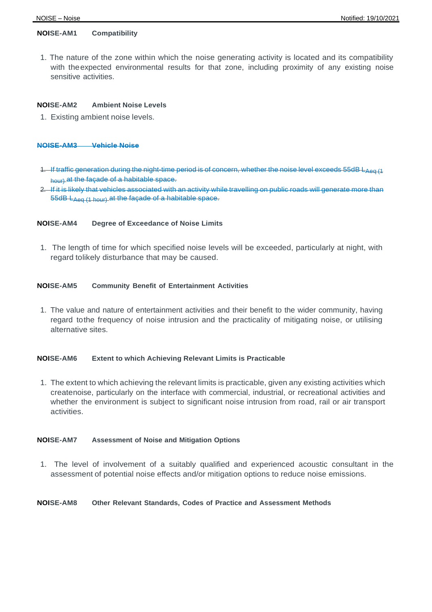# **NOISE-AM1 Compatibility**

1. The nature of the zone within which the noise generating activity is located and its compatibility with theexpected environmental results for that zone, including proximity of any existing noise sensitive activities.

#### **NOISE-AM2 Ambient Noise Levels**

1. Existing ambient noise levels.

#### **NOISE-AM3 Vehicle Noise**

- 1. If traffic generation during the night-time period is of concern, whether the noise level exceeds 55dB LAeq (1 hour) at the façade of a habitable space.
- 2. If it is likely that vehicles associated with an activity while travelling on public roads will generate more than 55dB LAeq (1 hour) at the façade of a habitable space.

#### **NOISE-AM4 Degree of Exceedance of Noise Limits**

1. The length of time for which specified noise levels will be exceeded, particularly at night, with regard tolikely disturbance that may be caused.

## **NOISE-AM5 Community Benefit of Entertainment Activities**

1. The value and nature of entertainment activities and their benefit to the wider community, having regard tothe frequency of noise intrusion and the practicality of mitigating noise, or utilising alternative sites.

## **NOISE-AM6 Extent to which Achieving Relevant Limits is Practicable**

1. The extent to which achieving the relevant limits is practicable, given any existing activities which createnoise, particularly on the interface with commercial, industrial, or recreational activities and whether the environment is subject to significant noise intrusion from road, rail or air transport activities.

#### **NOISE-AM7 Assessment of Noise and Mitigation Options**

1. The level of involvement of a suitably qualified and experienced acoustic consultant in the assessment of potential noise effects and/or mitigation options to reduce noise emissions.

#### **NOISE-AM8 Other Relevant Standards, Codes of Practice and Assessment Methods**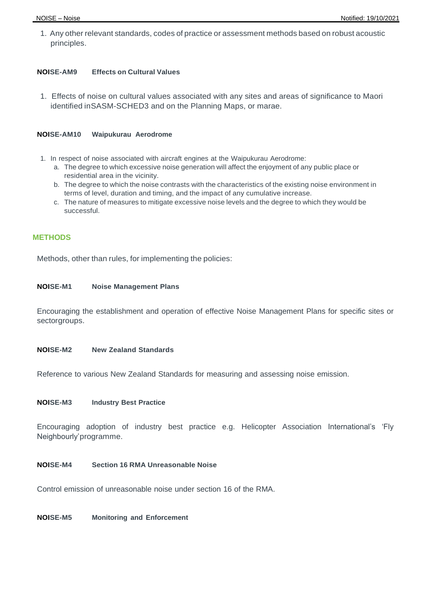1. Any other relevant standards, codes of practice or assessment methods based on robust acoustic principles.

# **NOISE-AM9 Effects on Cultural Values**

1. Effects of noise on cultural values associated with any sites and areas of significance to Maori identified inSASM-SCHED3 and on the Planning Maps, or marae.

# **NOISE-AM10 Waipukurau Aerodrome**

- 1. In respect of noise associated with aircraft engines at the Waipukurau Aerodrome:
	- a. The degree to which excessive noise generation will affect the enjoyment of any public place or residential area in the vicinity.
	- b. The degree to which the noise contrasts with the characteristics of the existing noise environment in terms of level, duration and timing, and the impact of any cumulative increase.
	- c. The nature of measures to mitigate excessive noise levels and the degree to which they would be successful.

# **METHODS**

Methods, other than rules, for implementing the policies:

# **NOISE-M1 Noise Management Plans**

Encouraging the establishment and operation of effective Noise Management Plans for specific sites or sectorgroups.

#### **NOISE-M2 New Zealand Standards**

Reference to various New Zealand Standards for measuring and assessing noise emission.

#### **NOISE-M3 Industry Best Practice**

Encouraging adoption of industry best practice e.g. Helicopter Association International's 'Fly Neighbourly'programme.

# **NOISE-M4 Section 16 RMA Unreasonable Noise**

Control emission of unreasonable noise under section 16 of the RMA.

**NOISE-M5 Monitoring and Enforcement**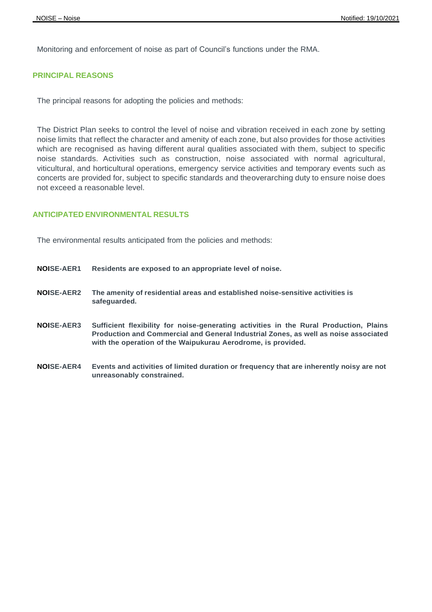Monitoring and enforcement of noise as part of Council's functions under the RMA.

# **PRINCIPAL REASONS**

The principal reasons for adopting the policies and methods:

The District Plan seeks to control the level of noise and vibration received in each zone by setting noise limits that reflect the character and amenity of each zone, but also provides for those activities which are recognised as having different aural qualities associated with them, subject to specific noise standards. Activities such as construction, noise associated with normal agricultural, viticultural, and horticultural operations, emergency service activities and temporary events such as concerts are provided for, subject to specific standards and theoverarching duty to ensure noise does not exceed a reasonable level.

# **ANTICIPATED ENVIRONMENTAL RESULTS**

The environmental results anticipated from the policies and methods:

- **NOISE-AER1 Residents are exposed to an appropriate level of noise.**
- **NOISE-AER2 The amenity of residential areas and established noise-sensitive activities is safeguarded.**
- **NOISE-AER3 Sufficient flexibility for noise-generating activities in the Rural Production, Plains Production and Commercial and General Industrial Zones, as well as noise associated with the operation of the Waipukurau Aerodrome, is provided.**
- **NOISE-AER4 Events and activities of limited duration or frequency that are inherently noisy are not unreasonably constrained.**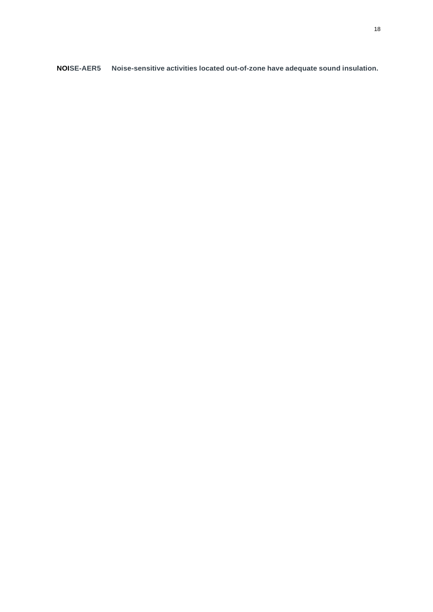**NOISE-AER5 Noise-sensitive activities located out-of-zone have adequate sound insulation.**